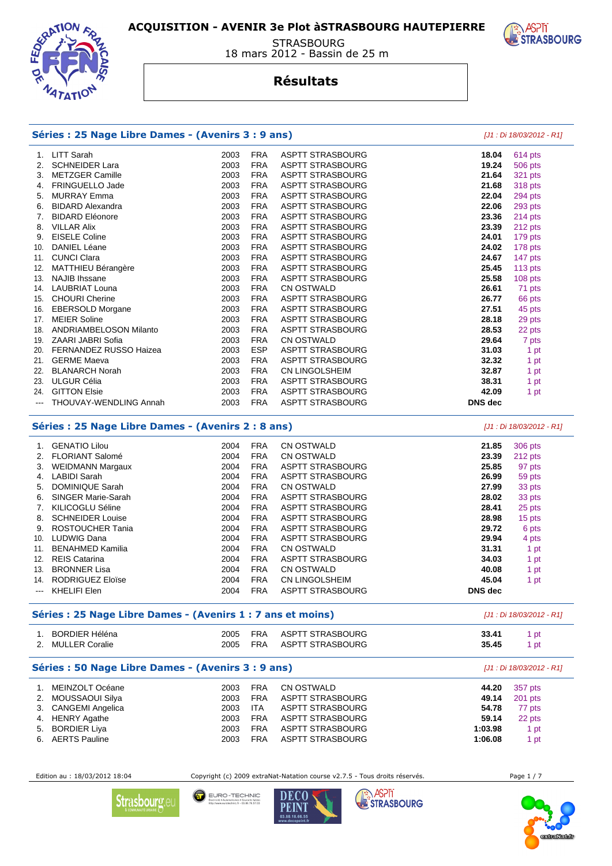

#### **STRASBOURG** 18 mars 2012 - Bassin de 25 m

## **Résultats**

# **STRASBOURG**

**ASPTi** 

|                                                                                 | Séries : 25 Nage Libre Dames - (Avenirs 3 : 9 ans) |      | [J1 : Di 18/03/2012 - R1] |                         |                |         |
|---------------------------------------------------------------------------------|----------------------------------------------------|------|---------------------------|-------------------------|----------------|---------|
|                                                                                 | 1. LITT Sarah                                      | 2003 | <b>FRA</b>                | <b>ASPTT STRASBOURG</b> | 18.04          | 614 pts |
| 2.                                                                              | <b>SCHNEIDER Lara</b>                              | 2003 | <b>FRA</b>                | <b>ASPTT STRASBOURG</b> | 19.24          | 506 pts |
| 3.                                                                              | <b>METZGER Camille</b>                             | 2003 | <b>FRA</b>                | <b>ASPTT STRASBOURG</b> | 21.64          | 321 pts |
| 4.                                                                              | FRINGUELLO Jade                                    | 2003 | <b>FRA</b>                | <b>ASPTT STRASBOURG</b> | 21.68          | 318 pts |
| 5.                                                                              | <b>MURRAY Emma</b>                                 | 2003 | <b>FRA</b>                | <b>ASPTT STRASBOURG</b> | 22.04          | 294 pts |
| 6.                                                                              | <b>BIDARD Alexandra</b>                            | 2003 | <b>FRA</b>                | <b>ASPTT STRASBOURG</b> | 22.06          | 293 pts |
| 7 <sub>1</sub>                                                                  | <b>BIDARD Eléonore</b>                             | 2003 | <b>FRA</b>                | <b>ASPTT STRASBOURG</b> | 23.36          | 214 pts |
|                                                                                 | 8. VILLAR Alix                                     | 2003 | <b>FRA</b>                | <b>ASPTT STRASBOURG</b> | 23.39          | 212 pts |
| 9.                                                                              | <b>EISELE Coline</b>                               | 2003 | <b>FRA</b>                | <b>ASPTT STRASBOURG</b> | 24.01          | 179 pts |
| 10.                                                                             | <b>DANIEL Léane</b>                                | 2003 | <b>FRA</b>                | <b>ASPTT STRASBOURG</b> | 24.02          | 178 pts |
|                                                                                 | 11. CUNCI Clara                                    | 2003 | <b>FRA</b>                | <b>ASPTT STRASBOURG</b> | 24.67          | 147 pts |
| 12.                                                                             | MATTHIEU Bérangère                                 | 2003 | <b>FRA</b>                | ASPTT STRASBOURG        | 25.45          | 113 pts |
|                                                                                 | 13. NAJIB Ihssane                                  | 2003 | <b>FRA</b>                | ASPTT STRASBOURG        | 25.58          | 108 pts |
|                                                                                 | 14. LAUBRIAT Louna                                 | 2003 | <b>FRA</b>                | <b>CN OSTWALD</b>       | 26.61          | 71 pts  |
|                                                                                 | 15. CHOURI Cherine                                 | 2003 | <b>FRA</b>                | <b>ASPTT STRASBOURG</b> | 26.77          | 66 pts  |
| 16.                                                                             | <b>EBERSOLD Morgane</b>                            | 2003 | <b>FRA</b>                | <b>ASPTT STRASBOURG</b> | 27.51          | 45 pts  |
| 17.                                                                             | <b>MEIER Soline</b>                                | 2003 | <b>FRA</b>                | <b>ASPTT STRASBOURG</b> | 28.18          | 29 pts  |
|                                                                                 | 18. ANDRIAMBELOSON Milanto                         | 2003 | <b>FRA</b>                | <b>ASPTT STRASBOURG</b> | 28.53          | 22 pts  |
|                                                                                 | 19. ZAARI JABRI Sofia                              | 2003 | <b>FRA</b>                | <b>CN OSTWALD</b>       | 29.64          | 7 pts   |
|                                                                                 | 20. FERNANDEZ RUSSO Haizea                         | 2003 | <b>ESP</b>                | <b>ASPTT STRASBOURG</b> | 31.03          | 1 pt    |
|                                                                                 | 21. GERME Maeva                                    | 2003 | <b>FRA</b>                | <b>ASPTT STRASBOURG</b> | 32.32          | 1 pt    |
| 22.                                                                             | <b>BLANARCH Norah</b>                              | 2003 | <b>FRA</b>                | CN LINGOLSHEIM          | 32.87          | 1 pt    |
| 23.                                                                             | <b>ULGUR Célia</b>                                 | 2003 | <b>FRA</b>                | <b>ASPTT STRASBOURG</b> | 38.31          | 1 pt    |
| 24.                                                                             | <b>GITTON Elsie</b>                                | 2003 | <b>FRA</b>                | <b>ASPTT STRASBOURG</b> | 42.09          | 1 pt    |
|                                                                                 | <b>THOUVAY-WENDLING Annah</b>                      | 2003 | <b>FRA</b>                | <b>ASPTT STRASBOURG</b> | <b>DNS</b> dec |         |
| Séries : 25 Nage Libre Dames - (Avenirs 2 : 8 ans)<br>[J1 : Di 18/03/2012 - R1] |                                                    |      |                           |                         |                |         |
| 1.                                                                              | <b>GENATIO Lilou</b>                               | 2004 | <b>FRA</b>                | CN OSTWALD              | 21.85          | 306 pts |
| 2.                                                                              | <b>FLORIANT Salomé</b>                             | 2004 | <b>FRA</b>                | CN OSTWALD              | 23.39          | 212 pts |
| 3.                                                                              | <b>WEIDMANN Margaux</b>                            | 2004 | <b>FRA</b>                | <b>ASPTT STRASBOURG</b> | 25.85          | 97 pts  |
| 4.                                                                              | <b>LABIDI Sarah</b>                                | 2004 | <b>FRA</b>                | <b>ASPTT STRASBOURG</b> | 26.99          | 59 pts  |
| 5.                                                                              | <b>DOMINIQUE Sarah</b>                             | 2004 | <b>FRA</b>                | CN OSTWALD              | 27.99          | 33 pts  |
| 6.                                                                              | SINGER Marie-Sarah                                 | 2004 | <b>FRA</b>                | <b>ASPTT STRASBOURG</b> | 28.02          | 33 pts  |
| 7.                                                                              | KILICOGLU Séline                                   | 2004 | <b>FRA</b>                | ASPTT STRASBOURG        | 28.41          | 25 pts  |
| 8.                                                                              | <b>SCHNEIDER Louise</b>                            | 2004 | <b>FRA</b>                | <b>ASPTT STRASBOURG</b> | 28.98          | 15 pts  |
| 9.                                                                              | <b>ROSTOUCHER Tania</b>                            | 2004 | <b>FRA</b>                | <b>ASPTT STRASBOURG</b> | 29.72          | 6 pts   |
| 10.                                                                             | <b>LUDWIG Dana</b>                                 | 2004 | <b>FRA</b>                | <b>ASPTT STRASBOURG</b> | 29.94          | 4 pts   |
|                                                                                 | 11. BENAHMED Kamilia                               | 2004 | <b>FRA</b>                | CN OSTWALD              | 31.31          | 1 pt    |

**Séries : 25 Nage Libre Dames - (Avenirs 1 : 7 ans et moins)** [J1 : Di 18/03/2012 - R1] 1. BORDIER Héléna 2005 FRA ASPTT STRASBOURG **33.41** 1 pt 2. MULLER Coralie 2005 FRA ASPTT STRASBOURG **35.45** 1 pt **Séries : 50 Nage Libre Dames - (Avenirs 3 : 9 ans)** [J1 : Di 18/03/2012 - R1] 1. MEINZOLT Océane 2003 FRA CN OSTWALD **44.20** 357 pts 2. MOUSSAOUI Silya 2003 FRA ASPTT STRASBOURG **49.14** 201 pts 3. CANGEMI Angelica **54.78 2003 ITA ASPTT STRASBOURG 54.78**  4. HENRY Agathe 2003 FRA ASPTT STRASBOURG **59.14** 22 pts 5. BORDIER Liya 2003 FRA ASPTT STRASBOURG **1:03.98** 1 pt 6. AERTS Pauline 2003 FRA ASPTT STRASBOURG **1:06.08** 1 pt

 12. REIS Catarina 2004 FRA ASPTT STRASBOURG **34.03** 1 pt 13. BRONNER Lisa 2004 FRA CN OSTWALD **40.08** 1 pt 14. RODRIGUEZ Eloïse 2004 FRA CN LINGOLSHEIM **45.04** 1 pt

--- KHELIFI Elen 2004 FRA ASPTT STRASBOURG **DNS dec** 

Edition au : 18/03/2012 18:04 Copyright (c) 2009 extraNat-Natation course v2.7.5 - Tous droits réservés. Page 1 / 7



EURO-TECHNIC DECO smes • Courants faibles<br>nic.fr - 03.88.76.57.03 PEINT



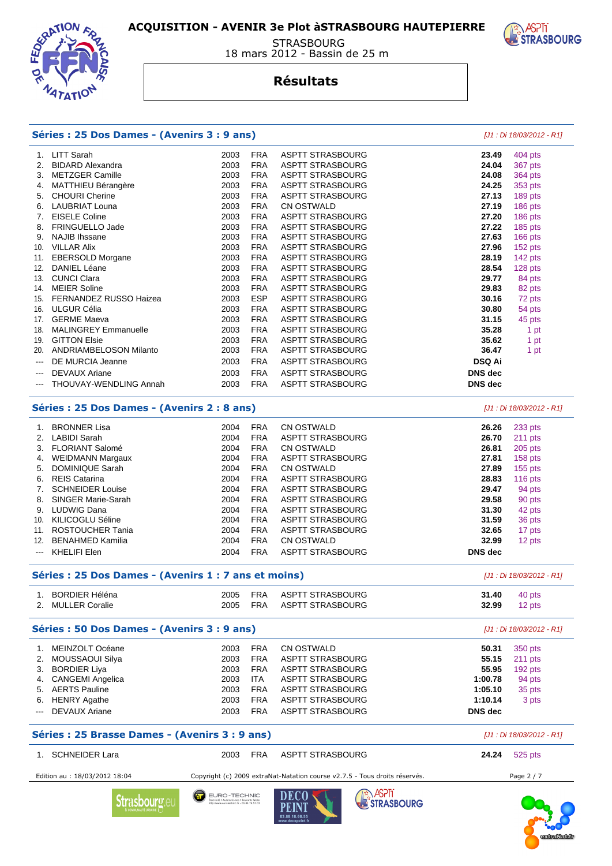

#### STRASBOURG 18 mars 2012 - Bassin de 25 m

#### **Résultats**

|          | Séries : 25 Dos Dames - (Avenirs 3 : 9 ans)          |              |                          |                                                                            |                | [J1 : Di 18/03/2012 - R1] |
|----------|------------------------------------------------------|--------------|--------------------------|----------------------------------------------------------------------------|----------------|---------------------------|
| 1.       | <b>LITT Sarah</b>                                    | 2003         | <b>FRA</b>               | <b>ASPTT STRASBOURG</b>                                                    | 23.49          | 404 pts                   |
| 2.       | <b>BIDARD Alexandra</b>                              | 2003         | <b>FRA</b>               | <b>ASPTT STRASBOURG</b>                                                    | 24.04          | 367 pts                   |
| 3.       | <b>METZGER Camille</b>                               | 2003         | <b>FRA</b>               | <b>ASPTT STRASBOURG</b>                                                    | 24.08          | <b>364 pts</b>            |
| 4.       | <b>MATTHIEU Bérangère</b>                            | 2003         | <b>FRA</b>               | <b>ASPTT STRASBOURG</b>                                                    | 24.25          | 353 pts                   |
| 5.       | <b>CHOURI</b> Cherine                                | 2003         | <b>FRA</b>               | <b>ASPTT STRASBOURG</b>                                                    | 27.13          | 189 pts                   |
| 6.       | <b>LAUBRIAT Louna</b>                                | 2003         | <b>FRA</b>               | <b>CN OSTWALD</b>                                                          | 27.19          | 186 pts                   |
| 7.       | <b>EISELE Coline</b>                                 | 2003         | <b>FRA</b>               | <b>ASPTT STRASBOURG</b>                                                    | 27.20          | 186 pts                   |
| 8.       | FRINGUELLO Jade                                      | 2003         | <b>FRA</b>               | <b>ASPTT STRASBOURG</b>                                                    | 27.22          | 185 pts                   |
| 9.       | <b>NAJIB Ihssane</b>                                 | 2003         | <b>FRA</b>               | <b>ASPTT STRASBOURG</b>                                                    | 27.63          | 166 pts                   |
| 10.      | <b>VILLAR Alix</b>                                   | 2003         | <b>FRA</b>               | <b>ASPTT STRASBOURG</b>                                                    | 27.96          | 152 pts                   |
| 11.      | EBERSOLD Morgane                                     | 2003         | <b>FRA</b>               | <b>ASPTT STRASBOURG</b>                                                    | 28.19          | 142 pts                   |
| 12.      | DANIEL Léane                                         | 2003         | <b>FRA</b>               | <b>ASPTT STRASBOURG</b>                                                    | 28.54          | 128 pts                   |
| 13.      | <b>CUNCI Clara</b>                                   | 2003         | <b>FRA</b>               | <b>ASPTT STRASBOURG</b>                                                    | 29.77          | 84 pts                    |
| 14.      | <b>MEIER Soline</b>                                  | 2003         | <b>FRA</b>               | <b>ASPTT STRASBOURG</b>                                                    | 29.83          | 82 pts                    |
| 15.      | FERNANDEZ RUSSO Haizea                               | 2003         | <b>ESP</b>               | <b>ASPTT STRASBOURG</b>                                                    | 30.16          | 72 pts                    |
| 16.      | ULGUR Célia                                          | 2003         | <b>FRA</b>               | <b>ASPTT STRASBOURG</b>                                                    | 30.80          | 54 pts                    |
| 17.      | <b>GERME Maeva</b>                                   | 2003         | <b>FRA</b>               | <b>ASPTT STRASBOURG</b>                                                    | 31.15          | 45 pts                    |
| 18.      | <b>MALINGREY Emmanuelle</b>                          | 2003         | <b>FRA</b>               | <b>ASPTT STRASBOURG</b>                                                    | 35.28          | 1 pt                      |
| 19.      | <b>GITTON Elsie</b>                                  | 2003         | <b>FRA</b>               | <b>ASPTT STRASBOURG</b>                                                    | 35.62          | 1 pt                      |
| 20.      | <b>ANDRIAMBELOSON Milanto</b>                        | 2003         | <b>FRA</b>               | <b>ASPTT STRASBOURG</b>                                                    | 36.47          | 1 pt                      |
| $---$    | DE MURCIA Jeanne                                     | 2003         | <b>FRA</b>               | <b>ASPTT STRASBOURG</b>                                                    | <b>DSQ Ai</b>  |                           |
| ---      | <b>DEVAUX Ariane</b>                                 | 2003         | <b>FRA</b>               | <b>ASPTT STRASBOURG</b>                                                    | <b>DNS</b> dec |                           |
|          | THOUVAY-WENDLING Annah                               | 2003         | <b>FRA</b>               | <b>ASPTT STRASBOURG</b>                                                    | <b>DNS</b> dec |                           |
|          | Séries : 25 Dos Dames - (Avenirs 2 : 8 ans)          |              |                          |                                                                            |                | [J1 : Di 18/03/2012 - R1] |
| 1.       | <b>BRONNER Lisa</b>                                  | 2004         | <b>FRA</b>               | <b>CN OSTWALD</b>                                                          | 26.26          | 233 pts                   |
| 2.       | <b>LABIDI Sarah</b>                                  | 2004         | <b>FRA</b>               | <b>ASPTT STRASBOURG</b>                                                    | 26.70          | 211 pts                   |
|          | 3. FLORIANT Salomé                                   | 2004         | <b>FRA</b>               | CN OSTWALD                                                                 | 26.81          | 205 pts                   |
| 4.       | <b>WEIDMANN Margaux</b>                              | 2004         | <b>FRA</b>               | <b>ASPTT STRASBOURG</b>                                                    | 27.81          | 158 pts                   |
| 5.       | <b>DOMINIQUE Sarah</b>                               | 2004         | <b>FRA</b>               | <b>CN OSTWALD</b>                                                          | 27.89          | 155 pts                   |
| 6.       | <b>REIS Catarina</b>                                 | 2004         | <b>FRA</b>               | <b>ASPTT STRASBOURG</b>                                                    | 28.83          | 116 $pts$                 |
| 7.       | <b>SCHNEIDER Louise</b>                              | 2004         | <b>FRA</b>               | <b>ASPTT STRASBOURG</b>                                                    | 29.47          | 94 pts                    |
| 8.       | <b>SINGER Marie-Sarah</b>                            | 2004         | <b>FRA</b>               | <b>ASPTT STRASBOURG</b>                                                    | 29.58          | 90 pts                    |
| 9.       | <b>LUDWIG Dana</b>                                   | 2004         | <b>FRA</b>               | <b>ASPTT STRASBOURG</b>                                                    | 31.30          | 42 pts                    |
| 10.      | KILICOGLU Séline                                     | 2004         | <b>FRA</b>               | <b>ASPTT STRASBOURG</b>                                                    | 31.59          | 36 pts                    |
| 11.      | ROSTOUCHER Tania                                     | 2004         | <b>FRA</b>               | <b>ASPTT STRASBOURG</b>                                                    | 32.65          | 17 pts                    |
| 12.      | <b>BENAHMED Kamilia</b>                              | 2004         | <b>FRA</b>               | CN OSTWALD                                                                 | 32.99          | 12 pts                    |
| ---      | <b>KHELIFI Elen</b>                                  | 2004         | <b>FRA</b>               | <b>ASPTT STRASBOURG</b>                                                    | <b>DNS</b> dec |                           |
|          | Séries : 25 Dos Dames - (Avenirs 1 : 7 ans et moins) |              |                          |                                                                            |                | [J1 : Di 18/03/2012 - R1] |
|          |                                                      |              |                          | <b>ASPTT STRASBOURG</b>                                                    |                |                           |
| 1.<br>2. | <b>BORDIER Héléna</b><br><b>MULLER Coralie</b>       | 2005<br>2005 | <b>FRA</b><br><b>FRA</b> | <b>ASPTT STRASBOURG</b>                                                    | 31.40<br>32.99 | 40 pts<br>12 pts          |
|          | Séries : 50 Dos Dames - (Avenirs 3 : 9 ans)          |              |                          |                                                                            |                | [J1 : Di 18/03/2012 - R1] |
| 1.       | MEINZOLT Océane                                      | 2003         | FRA                      | <b>CN OSTWALD</b>                                                          | 50.31          | 350 pts                   |
| 2.       | MOUSSAOUI Silya                                      | 2003         | <b>FRA</b>               | <b>ASPTT STRASBOURG</b>                                                    | 55.15          | 211 pts                   |
| З.       | <b>BORDIER Liya</b>                                  | 2003         | <b>FRA</b>               | ASPTT STRASBOURG                                                           | 55.95          | 192 pts                   |
| 4.       | <b>CANGEMI</b> Angelica                              | 2003         | ITA.                     | <b>ASPTT STRASBOURG</b>                                                    | 1:00.78        | 94 pts                    |
| 5.       | <b>AERTS Pauline</b>                                 | 2003         | <b>FRA</b>               | <b>ASPTT STRASBOURG</b>                                                    | 1:05.10        | 35 pts                    |
| 6.       | <b>HENRY Agathe</b>                                  | 2003         | <b>FRA</b>               | ASPTT STRASBOURG                                                           | 1:10.14        | 3 pts                     |
|          | <b>DEVAUX Ariane</b>                                 | 2003         | <b>FRA</b>               | <b>ASPTT STRASBOURG</b>                                                    | DNS dec        |                           |
|          | Séries : 25 Brasse Dames - (Avenirs 3 : 9 ans)       |              |                          |                                                                            |                | [J1 : Di 18/03/2012 - R1] |
|          | 1. SCHNEIDER Lara                                    | 2003         | <b>FRA</b>               | <b>ASPTT STRASBOURG</b>                                                    | 24.24          | 525 pts                   |
|          | Edition au : 18/03/2012 18:04                        |              |                          | Copyright (c) 2009 extraNat-Natation course v2.7.5 - Tous droits réservés. |                | Page 2 / 7                |
|          |                                                      |              |                          |                                                                            |                |                           |



**ASPIT**<br>**ExtraseQURG** 

EURO - TECHNIC<br>Electricité • Automatismes • Courants taïtles<br>Mg://www.eurotechnic.fr • 03.88.76.57.03 **Strasbourg** eu



**ASPIT**<br>**BESTRASBOURG**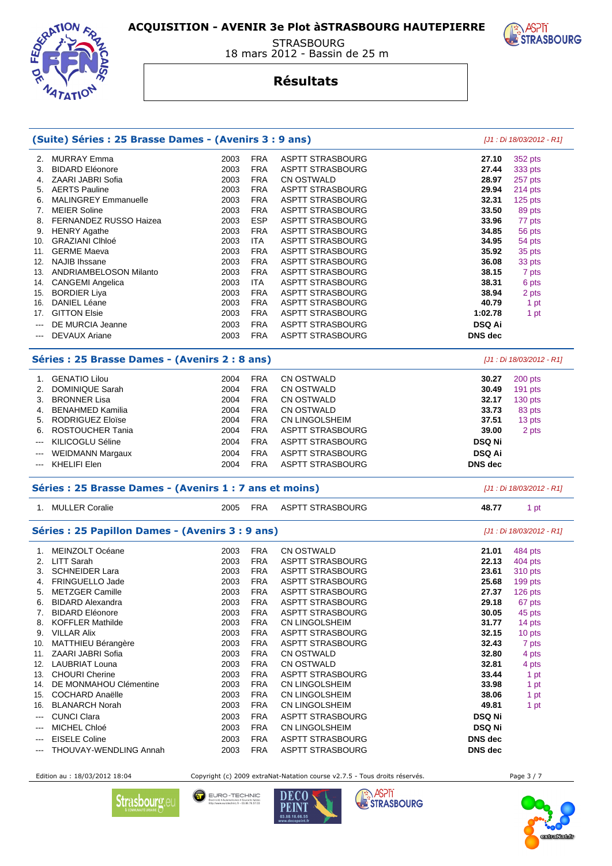

 STRASBOURG 18 mars 2012 - Bassin de 25 m

#### **Résultats**

|                          | (Suite) Séries : 25 Brasse Dames - (Avenirs 3 : 9 ans)  |      |            |                         |                | $[J1:Di 18/03/2012 - R1]$ |
|--------------------------|---------------------------------------------------------|------|------------|-------------------------|----------------|---------------------------|
| 2.                       | <b>MURRAY Emma</b>                                      | 2003 | <b>FRA</b> | <b>ASPTT STRASBOURG</b> | 27.10          | 352 pts                   |
| 3.                       | <b>BIDARD Eléonore</b>                                  | 2003 | <b>FRA</b> | <b>ASPTT STRASBOURG</b> | 27.44          | 333 pts                   |
|                          | 4. ZAARI JABRI Sofia                                    | 2003 | <b>FRA</b> | CN OSTWALD              | 28.97          | 257 pts                   |
|                          | 5. AERTS Pauline                                        | 2003 | <b>FRA</b> | <b>ASPTT STRASBOURG</b> | 29.94          | 214 pts                   |
| 6.                       | <b>MALINGREY Emmanuelle</b>                             | 2003 | <b>FRA</b> | <b>ASPTT STRASBOURG</b> | 32.31          | 125 pts                   |
|                          | 7. MEIER Soline                                         | 2003 | <b>FRA</b> | <b>ASPTT STRASBOURG</b> | 33.50          | 89 pts                    |
| 8.                       | FERNANDEZ RUSSO Haizea                                  | 2003 | <b>ESP</b> | <b>ASPTT STRASBOURG</b> | 33.96          | 77 pts                    |
| 9.                       | <b>HENRY Agathe</b>                                     | 2003 | <b>FRA</b> | <b>ASPTT STRASBOURG</b> | 34.85          | 56 pts                    |
|                          | 10. GRAZIANI CIhloé                                     | 2003 | <b>ITA</b> | <b>ASPTT STRASBOURG</b> | 34.95          | 54 pts                    |
|                          | 11. GERME Maeva                                         | 2003 | <b>FRA</b> | <b>ASPTT STRASBOURG</b> | 35.92          | 35 pts                    |
|                          | 12. NAJIB Ihssane                                       | 2003 | <b>FRA</b> | <b>ASPTT STRASBOURG</b> | 36.08          | 33 pts                    |
|                          | 13. ANDRIAMBELOSON Milanto                              | 2003 | <b>FRA</b> | <b>ASPTT STRASBOURG</b> | 38.15          | 7 pts                     |
|                          | 14. CANGEMI Angelica                                    | 2003 | <b>ITA</b> | <b>ASPTT STRASBOURG</b> | 38.31          | 6 pts                     |
|                          | 15. BORDIER Liya                                        | 2003 | <b>FRA</b> | <b>ASPTT STRASBOURG</b> | 38.94          | 2 pts                     |
| 16.                      | <b>DANIEL Léane</b>                                     | 2003 | <b>FRA</b> | <b>ASPTT STRASBOURG</b> | 40.79          | 1 pt                      |
|                          | 17. GITTON Elsie                                        | 2003 | <b>FRA</b> | <b>ASPTT STRASBOURG</b> | 1:02.78        | 1 pt                      |
|                          | DE MURCIA Jeanne                                        | 2003 | <b>FRA</b> | <b>ASPTT STRASBOURG</b> | <b>DSQ Ai</b>  |                           |
| $\hspace{0.05cm} \ldots$ | <b>DEVAUX Ariane</b>                                    | 2003 | <b>FRA</b> | <b>ASPTT STRASBOURG</b> | <b>DNS</b> dec |                           |
|                          |                                                         |      |            |                         |                |                           |
|                          | Séries : 25 Brasse Dames - (Avenirs 2 : 8 ans)          |      |            |                         |                | [J1 : Di 18/03/2012 - R1] |
|                          | 1. GENATIO Lilou                                        | 2004 | <b>FRA</b> | <b>CN OSTWALD</b>       | 30.27          | 200 pts                   |
| 2.                       | <b>DOMINIQUE Sarah</b>                                  | 2004 | <b>FRA</b> | CN OSTWALD              | 30.49          | 191 pts                   |
| 3.                       | <b>BRONNER Lisa</b>                                     | 2004 | <b>FRA</b> | CN OSTWALD              | 32.17          | 130 pts                   |
| 4.                       | BENAHMED Kamilia                                        | 2004 | <b>FRA</b> | <b>CN OSTWALD</b>       | 33.73          | 83 pts                    |
| 5.                       | <b>RODRIGUEZ Eloïse</b>                                 | 2004 | <b>FRA</b> | CN LINGOLSHEIM          | 37.51          | 13 pts                    |
| 6.                       | ROSTOUCHER Tania                                        | 2004 | <b>FRA</b> | <b>ASPTT STRASBOURG</b> | 39.00          | 2 pts                     |
| ---                      | KILICOGLU Séline                                        | 2004 | <b>FRA</b> | ASPTT STRASBOURG        | <b>DSQ Ni</b>  |                           |
| $\qquad \qquad \cdots$   | <b>WEIDMANN Margaux</b>                                 | 2004 | <b>FRA</b> | <b>ASPTT STRASBOURG</b> | <b>DSQ Ai</b>  |                           |
| $\hspace{0.05cm} \ldots$ | <b>KHELIFI Elen</b>                                     | 2004 | <b>FRA</b> | <b>ASPTT STRASBOURG</b> | <b>DNS</b> dec |                           |
|                          |                                                         |      |            |                         |                |                           |
|                          | Séries : 25 Brasse Dames - (Avenirs 1 : 7 ans et moins) |      |            |                         |                | $[J1:Di 18/03/2012 - R1]$ |
|                          | 1. MULLER Coralie                                       | 2005 | <b>FRA</b> | <b>ASPTT STRASBOURG</b> | 48.77          | 1 pt                      |
|                          | Séries : 25 Papillon Dames - (Avenirs 3 : 9 ans)        |      |            |                         |                | [J1 : Di 18/03/2012 - R1] |
|                          | 1. MEINZOLT Océane                                      | 2003 | <b>FRA</b> | <b>CN OSTWALD</b>       | 21.01          | 484 pts                   |
|                          | 2. LITT Sarah                                           | 2003 | <b>FRA</b> | ASPTT STRASBOURG        | 22.13          | 404 pts                   |
| 3.                       | <b>SCHNEIDER Lara</b>                                   | 2003 | <b>FRA</b> | <b>ASPTT STRASBOURG</b> | 23.61          | 310 pts                   |
|                          | 4. FRINGUELLO Jade                                      | 2003 | <b>FRA</b> | <b>ASPTT STRASBOURG</b> | 25.68          | 199 pts                   |
| 5.                       | <b>METZGER Camille</b>                                  | 2003 | <b>FRA</b> | <b>ASPTT STRASBOURG</b> | 27.37          | 126 pts                   |
| 6.                       | <b>BIDARD Alexandra</b>                                 | 2003 | <b>FRA</b> | <b>ASPTT STRASBOURG</b> | 29.18          | 67 pts                    |
| 7.                       | <b>BIDARD Eléonore</b>                                  | 2003 | <b>FRA</b> | <b>ASPTT STRASBOURG</b> | 30.05          | 45 pts                    |
| 8.                       | <b>KOFFLER Mathilde</b>                                 | 2003 | <b>FRA</b> | CN LINGOLSHEIM          | 31.77          | 14 pts                    |
|                          | 9. VILLAR Alix                                          | 2003 | <b>FRA</b> | <b>ASPTT STRASBOURG</b> | 32.15          | 10 pts                    |
| 10.                      | MATTHIEU Bérangère                                      | 2003 | <b>FRA</b> | <b>ASPTT STRASBOURG</b> | 32.43          | 7 pts                     |
|                          | 11. ZAARI JABRI Sofia                                   | 2003 | <b>FRA</b> | <b>CN OSTWALD</b>       | 32.80          | 4 pts                     |
|                          | 12. LAUBRIAT Louna                                      | 2003 | <b>FRA</b> | CN OSTWALD              | 32.81          | 4 pts                     |
|                          | 13. CHOURI Cherine                                      | 2003 | <b>FRA</b> | <b>ASPTT STRASBOURG</b> | 33.44          | 1 pt                      |
| 14.                      | DE MONMAHOU Clémentine                                  | 2003 | <b>FRA</b> | CN LINGOLSHEIM          | 33.98          | 1 pt                      |
| 15.                      | <b>COCHARD Anaëlle</b>                                  | 2003 | <b>FRA</b> | CN LINGOLSHEIM          | 38.06          | 1 pt                      |
| 16.                      | <b>BLANARCH Norah</b>                                   | 2003 | <b>FRA</b> | CN LINGOLSHEIM          | 49.81          | 1 pt                      |
| $\sim$ $\sim$            | <b>CUNCI Clara</b>                                      | 2003 | <b>FRA</b> | <b>ASPTT STRASBOURG</b> | <b>DSQ Ni</b>  |                           |
|                          |                                                         |      |            |                         |                |                           |
| $\qquad \qquad \cdots$   | MICHEL Chloé                                            | 2003 | <b>FRA</b> | CN LINGOLSHEIM          | <b>DSQ Ni</b>  |                           |
| $\qquad \qquad \cdots$   | <b>EISELE Coline</b>                                    | 2003 | <b>FRA</b> | <b>ASPTT STRASBOURG</b> | <b>DNS</b> dec |                           |
| $\overline{\phantom{a}}$ | THOUVAY-WENDLING Annah                                  | 2003 | <b>FRA</b> | <b>ASPTT STRASBOURG</b> | DNS dec        |                           |

Edition au : 18/03/2012 18:04 Copyright (c) 2009 extraNat-Natation course v2.7.5 - Tous droits réservés. Page 3 / 7

**DECO** PEINT  $03.88.18.66$ 

EURO - TECHNIC<br>
flectrické • Automatismes • Courants taikles<br>
Mtg://www.eurotechnic.fr • 03.88.76.57.03



**ASPIT**<br>**BESTRASBOURG** 



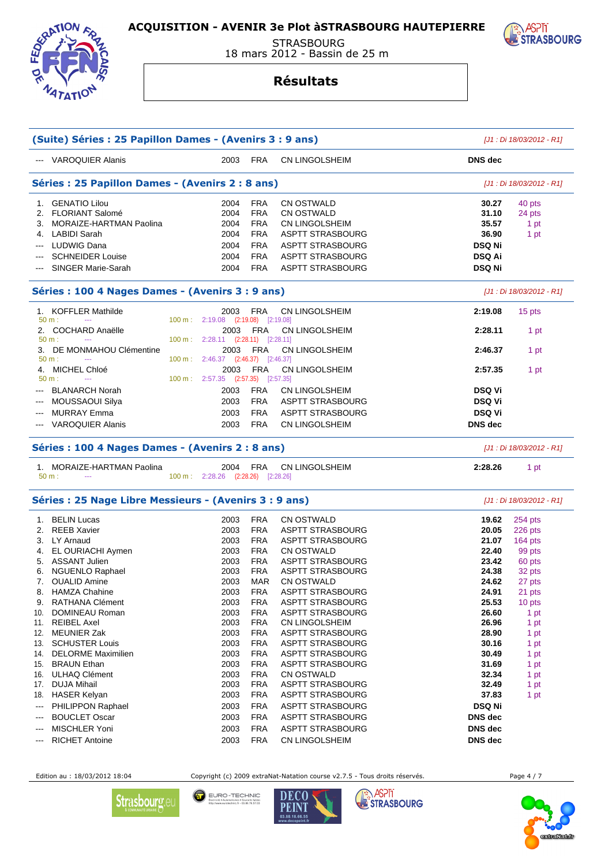

 STRASBOURG 18 mars 2012 - Bassin de 25 m

#### **Résultats**

|                          | (Suite) Séries : 25 Papillon Dames - (Avenirs 3 : 9 ans) | [J1 : Di 18/03/2012 - R1]                  |                          |                                                    |                           |                           |
|--------------------------|----------------------------------------------------------|--------------------------------------------|--------------------------|----------------------------------------------------|---------------------------|---------------------------|
|                          | --- VAROQUIER Alanis                                     | 2003                                       | <b>FRA</b>               | <b>CN LINGOLSHEIM</b>                              | <b>DNS</b> dec            |                           |
|                          | Séries : 25 Papillon Dames - (Avenirs 2 : 8 ans)         |                                            |                          |                                                    |                           | [J1 : Di 18/03/2012 - R1] |
|                          | 1. GENATIO Lilou<br>2. FLORIANT Salomé                   | 2004<br>2004                               | <b>FRA</b><br><b>FRA</b> | <b>CN OSTWALD</b><br>CN OSTWALD                    | 30.27<br>31.10            | 40 pts<br>24 pts          |
|                          | 3. MORAIZE-HARTMAN Paolina                               | 2004                                       | <b>FRA</b>               | CN LINGOLSHEIM                                     | 35.57                     | 1 pt                      |
| 4.                       | LABIDI Sarah                                             | 2004                                       | <b>FRA</b>               | <b>ASPTT STRASBOURG</b>                            | 36.90                     | 1 pt                      |
|                          | <b>LUDWIG Dana</b>                                       | 2004                                       | <b>FRA</b>               | ASPTT STRASBOURG                                   | <b>DSQ Ni</b>             |                           |
|                          | <b>SCHNEIDER Louise</b>                                  | 2004                                       | <b>FRA</b>               | <b>ASPTT STRASBOURG</b>                            | <b>DSQ Ai</b>             |                           |
|                          | SINGER Marie-Sarah                                       | 2004                                       | <b>FRA</b>               | <b>ASPTT STRASBOURG</b>                            | <b>DSQ Ni</b>             |                           |
|                          | Séries : 100 4 Nages Dames - (Avenirs 3 : 9 ans)         |                                            |                          |                                                    |                           | [J1 : Di 18/03/2012 - R1] |
|                          | 1. KOFFLER Mathilde<br>$50 m$ :                          | 2003<br>100 m: 2:19.08 (2:19.08)           | FRA                      | CN LINGOLSHEIM<br>[2:19.08]                        | 2:19.08                   | 15 pts                    |
|                          | 2. COCHARD Anaëlle<br>$50 m$ :                           | 2003<br>100 m: 2:28.11 (2:28.11) [2:28.11] | <b>FRA</b>               | <b>CN LINGOLSHEIM</b>                              | 2:28.11                   | 1 pt                      |
|                          | 3. DE MONMAHOU Clémentine<br>$50 m$ :                    | 2003<br>100 m: 2:46.37 (2:46.37) [2:46.37] | <b>FRA</b>               | <b>CN LINGOLSHEIM</b>                              | 2:46.37                   | 1 pt                      |
| 4.                       | MICHEL Chloé<br>50 m:<br>$\scriptstyle\cdots$            | 2003<br>100 m: 2:57.35 (2:57.35) [2:57.35] | <b>FRA</b>               | CN LINGOLSHEIM                                     | 2:57.35                   | 1 pt                      |
|                          | <b>BLANARCH Norah</b>                                    | 2003                                       | <b>FRA</b>               | <b>CN LINGOLSHEIM</b>                              | <b>DSQ Vi</b>             |                           |
|                          | MOUSSAOUI Silya                                          | 2003                                       | <b>FRA</b>               | <b>ASPTT STRASBOURG</b>                            | <b>DSQ Vi</b>             |                           |
| ---                      | <b>MURRAY Emma</b>                                       | 2003                                       | <b>FRA</b>               | <b>ASPTT STRASBOURG</b>                            | <b>DSQ Vi</b>             |                           |
| $\hspace{0.05cm} \ldots$ | <b>VAROQUIER Alanis</b>                                  | 2003                                       | <b>FRA</b>               | CN LINGOLSHEIM                                     | <b>DNS</b> dec            |                           |
|                          | Séries : 100 4 Nages Dames - (Avenirs 2 : 8 ans)         |                                            |                          |                                                    |                           | [J1 : Di 18/03/2012 - R1] |
|                          | 1. MORAIZE-HARTMAN Paolina<br>$50 m$ :<br>$\sim$ $\sim$  | 2004<br>100 m: 2:28.26 (2:28.26) [2:28.26] | <b>FRA</b>               | CN LINGOLSHEIM                                     | 2:28.26                   | 1 pt                      |
|                          | Séries : 25 Nage Libre Messieurs - (Avenirs 3 : 9 ans)   |                                            |                          |                                                    |                           | [J1 : Di 18/03/2012 - R1] |
|                          | 1. BELIN Lucas                                           | 2003                                       | <b>FRA</b>               | <b>CN OSTWALD</b>                                  | 19.62                     | 254 pts                   |
| 2.                       | <b>REEB Xavier</b>                                       | 2003                                       | <b>FRA</b>               | <b>ASPTT STRASBOURG</b>                            | 20.05                     | 226 pts                   |
|                          | 3. LY Arnaud                                             | 2003                                       | <b>FRA</b>               | <b>ASPTT STRASBOURG</b>                            | 21.07                     | 164 pts                   |
|                          | 4. EL OURIACHI Aymen                                     | 2003                                       | <b>FRA</b>               | <b>CN OSTWALD</b>                                  | 22.40                     | 99 pts                    |
|                          | 5. ASSANT Julien                                         | 2003                                       | <b>FRA</b>               | <b>ASPTT STRASBOURG</b>                            | 23.42                     | 60 pts                    |
|                          | 6. NGUENLO Raphael                                       | 2003                                       | <b>FRA</b>               | <b>ASPTT STRASBOURG</b>                            | 24.38                     | 32 pts                    |
|                          | 7. OUALID Amine                                          | 2003                                       | <b>MAR</b>               | <b>CN OSTWALD</b>                                  | 24.62                     | 27 pts                    |
|                          | 8. HAMZA Chahine<br>RATHANA Clément                      | 2003                                       | <b>FRA</b><br><b>FRA</b> | <b>ASPTT STRASBOURG</b><br><b>ASPTT STRASBOURG</b> | 24.91<br>25.53            | 21 pts                    |
| 9.<br>10.                | DOMINEAU Roman                                           | 2003<br>2003                               | <b>FRA</b>               | ASPTT STRASBOURG                                   | 26.60                     | 10 pts<br>1 pt            |
| 11.                      | <b>REIBEL Axel</b>                                       | 2003                                       | <b>FRA</b>               | CN LINGOLSHEIM                                     | 26.96                     | 1 pt                      |
|                          | 12. MEUNIER Zak                                          | 2003                                       | <b>FRA</b>               | <b>ASPTT STRASBOURG</b>                            | 28.90                     | 1 pt                      |
| 13.                      | <b>SCHUSTER Louis</b>                                    | 2003                                       | <b>FRA</b>               | <b>ASPTT STRASBOURG</b>                            | 30.16                     | 1 pt                      |
| 14.                      | <b>DELORME Maximilien</b>                                | 2003                                       | <b>FRA</b>               | <b>ASPTT STRASBOURG</b>                            | 30.49                     | 1 pt                      |
| 15.                      | <b>BRAUN Ethan</b>                                       | 2003                                       | <b>FRA</b>               | <b>ASPTT STRASBOURG</b>                            | 31.69                     | 1 pt                      |
| 16.                      | ULHAQ Clément                                            | 2003                                       | <b>FRA</b>               | CN OSTWALD                                         | 32.34                     | 1 pt                      |
| 17.                      | <b>DUJA Mihail</b>                                       | 2003                                       | <b>FRA</b>               | <b>ASPTT STRASBOURG</b>                            | 32.49                     | 1 pt                      |
|                          |                                                          |                                            |                          | ASPTT STRASBOURG                                   | 37.83                     | 1 pt                      |
| 18.                      | <b>HASER Kelyan</b>                                      | 2003                                       | <b>FRA</b>               |                                                    |                           |                           |
| $\hspace{0.05cm} \ldots$ | PHILIPPON Raphael                                        | 2003                                       | <b>FRA</b>               | <b>ASPTT STRASBOURG</b>                            | <b>DSQ Ni</b>             |                           |
| ---                      | <b>BOUCLET Oscar</b>                                     | 2003                                       | <b>FRA</b>               | <b>ASPTT STRASBOURG</b>                            | DNS dec                   |                           |
| $\qquad \qquad \cdots$   | MISCHLER Yoni<br><b>RICHET Antoine</b>                   | 2003<br>2003                               | <b>FRA</b><br><b>FRA</b> | <b>ASPTT STRASBOURG</b><br>CN LINGOLSHEIM          | <b>DNS</b> dec<br>DNS dec |                           |

Edition au : 18/03/2012 18:04 Copyright (c) 2009 extraNat-Natation course v2.7.5 - Tous droits réservés. Page 4 / 7



EURO - TECHNIC<br>
flectrické • Automatismes • Courants taikles<br>
Mtg://www.eurotechnic.fr • 03.88.76.57.03 **DECO** 







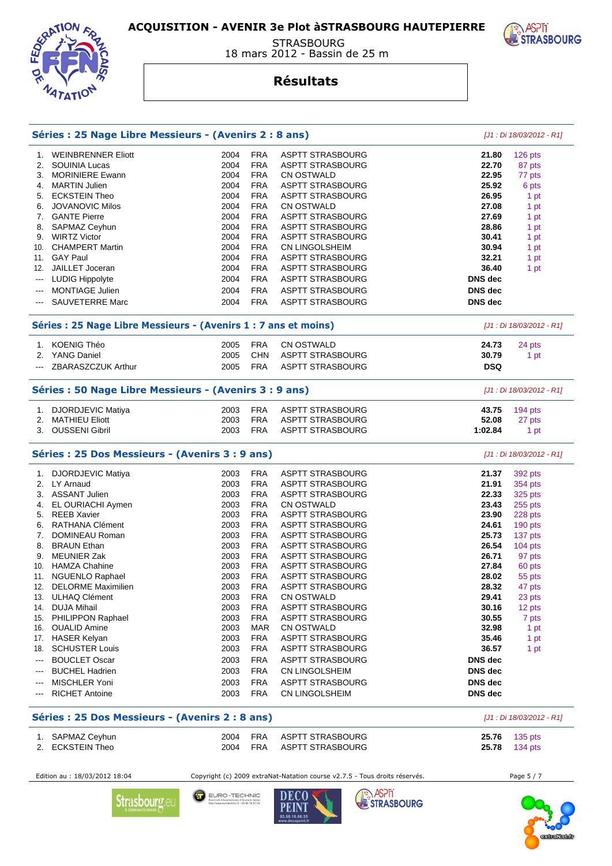

**STRASBOURG** 18 mars 2012 - Bassin de 25 m

#### **Résultats**

|                                                                                                                                                                               | Séries : 25 Nage Libre Messieurs - (Avenirs 2 : 8 ans) |                          |                                                    |                                  |                           |  |  |  |
|-------------------------------------------------------------------------------------------------------------------------------------------------------------------------------|--------------------------------------------------------|--------------------------|----------------------------------------------------|----------------------------------|---------------------------|--|--|--|
| 1. WEINBRENNER Eliott                                                                                                                                                         | 2004                                                   | <b>FRA</b>               | <b>ASPTT STRASBOURG</b>                            | 21.80                            | 126 pts                   |  |  |  |
| SOUINIA Lucas<br>2.                                                                                                                                                           | 2004                                                   | <b>FRA</b>               | <b>ASPTT STRASBOURG</b>                            | 22.70                            | 87 pts                    |  |  |  |
| <b>MORINIERE Ewann</b><br>3.                                                                                                                                                  | 2004                                                   | <b>FRA</b>               | <b>CN OSTWALD</b>                                  | 22.95                            | 77 pts                    |  |  |  |
| <b>MARTIN Julien</b><br>4.                                                                                                                                                    | 2004                                                   | <b>FRA</b>               | <b>ASPTT STRASBOURG</b>                            | 25.92                            | 6 pts                     |  |  |  |
| <b>ECKSTEIN Theo</b><br>5.                                                                                                                                                    | 2004                                                   | <b>FRA</b>               | <b>ASPTT STRASBOURG</b>                            | 26.95                            | 1 pt                      |  |  |  |
| <b>JOVANOVIC Milos</b><br>6.                                                                                                                                                  | 2004                                                   | <b>FRA</b>               | <b>CN OSTWALD</b>                                  | 27.08                            | 1 pt                      |  |  |  |
| <b>GANTE Pierre</b><br>7.                                                                                                                                                     | 2004                                                   | <b>FRA</b>               | <b>ASPTT STRASBOURG</b>                            | 27.69                            | 1 pt                      |  |  |  |
| SAPMAZ Ceyhun<br>8.                                                                                                                                                           | 2004                                                   | <b>FRA</b>               | <b>ASPTT STRASBOURG</b>                            | 28.86                            | 1 pt                      |  |  |  |
| <b>WIRTZ Victor</b><br>9.                                                                                                                                                     | 2004                                                   | <b>FRA</b>               | <b>ASPTT STRASBOURG</b>                            | 30.41                            | 1 pt                      |  |  |  |
| <b>CHAMPERT Martin</b><br>10.                                                                                                                                                 | 2004                                                   | <b>FRA</b>               | CN LINGOLSHEIM                                     | 30.94                            | 1 pt                      |  |  |  |
| <b>GAY Paul</b><br>11.                                                                                                                                                        | 2004                                                   | <b>FRA</b>               | <b>ASPTT STRASBOURG</b>                            | 32.21                            | 1 pt                      |  |  |  |
| JAILLET Joceran<br>12.                                                                                                                                                        | 2004                                                   | <b>FRA</b>               | <b>ASPTT STRASBOURG</b>                            | 36.40                            | 1 pt                      |  |  |  |
| <b>LUDIG Hippolyte</b><br>$\sim$ $\sim$                                                                                                                                       | 2004                                                   | <b>FRA</b>               | <b>ASPTT STRASBOURG</b>                            | <b>DNS</b> dec                   |                           |  |  |  |
| <b>MONTIAGE Julien</b>                                                                                                                                                        | 2004                                                   | <b>FRA</b>               | <b>ASPTT STRASBOURG</b>                            | <b>DNS</b> dec                   |                           |  |  |  |
| SAUVETERRE Marc                                                                                                                                                               | 2004                                                   | <b>FRA</b>               | <b>ASPTT STRASBOURG</b>                            | <b>DNS</b> dec                   |                           |  |  |  |
| Séries : 25 Nage Libre Messieurs - (Avenirs 1 : 7 ans et moins)                                                                                                               |                                                        |                          |                                                    |                                  | [J1 : Di 18/03/2012 - R1] |  |  |  |
| <b>KOENIG Théo</b><br>1.                                                                                                                                                      | 2005                                                   | <b>FRA</b>               | <b>CN OSTWALD</b>                                  | 24.73                            | 24 pts                    |  |  |  |
| 2. YANG Daniel                                                                                                                                                                | 2005                                                   | <b>CHN</b>               | <b>ASPTT STRASBOURG</b>                            | 30.79                            | 1 pt                      |  |  |  |
| ZBARASZCZUK Arthur<br>---                                                                                                                                                     | 2005                                                   | <b>FRA</b>               | <b>ASPTT STRASBOURG</b>                            | <b>DSQ</b>                       |                           |  |  |  |
| Séries : 50 Nage Libre Messieurs - (Avenirs 3 : 9 ans)                                                                                                                        |                                                        |                          |                                                    |                                  | [J1 : Di 18/03/2012 - R1] |  |  |  |
| DJORDJEVIC Matiya<br>1.                                                                                                                                                       | 2003                                                   | <b>FRA</b>               | ASPTT STRASBOURG                                   | 43.75                            | 194 pts                   |  |  |  |
| <b>MATHIEU Eliott</b><br>2.                                                                                                                                                   | 2003                                                   | <b>FRA</b>               | <b>ASPTT STRASBOURG</b>                            | 52.08                            | 27 pts                    |  |  |  |
| 3. OUSSENI Gibril                                                                                                                                                             | 2003                                                   | <b>FRA</b>               | <b>ASPTT STRASBOURG</b>                            | 1:02.84                          | 1 pt                      |  |  |  |
| Séries : 25 Dos Messieurs - (Avenirs 3 : 9 ans)                                                                                                                               |                                                        |                          |                                                    |                                  | [J1 : Di 18/03/2012 - R1] |  |  |  |
| DJORDJEVIC Matiya<br>1.                                                                                                                                                       | 2003                                                   | <b>FRA</b>               | <b>ASPTT STRASBOURG</b>                            | 21.37                            | 392 pts                   |  |  |  |
| 2. LY Arnaud                                                                                                                                                                  | 2003                                                   | <b>FRA</b>               | <b>ASPTT STRASBOURG</b>                            | 21.91                            | 354 pts                   |  |  |  |
| 3. ASSANT Julien                                                                                                                                                              | 2003                                                   | <b>FRA</b>               | <b>ASPTT STRASBOURG</b>                            | 22.33                            | 325 pts                   |  |  |  |
|                                                                                                                                                                               |                                                        |                          | <b>CN OSTWALD</b>                                  |                                  |                           |  |  |  |
|                                                                                                                                                                               | 2003                                                   | <b>FRA</b>               |                                                    | 23.43                            |                           |  |  |  |
| <b>REEB Xavier</b>                                                                                                                                                            | 2003                                                   | <b>FRA</b>               |                                                    | 23.90                            | 255 pts                   |  |  |  |
|                                                                                                                                                                               |                                                        |                          | <b>ASPTT STRASBOURG</b>                            |                                  | 228 pts                   |  |  |  |
| RATHANA Clément<br>DOMINEAU Roman                                                                                                                                             | 2003<br>2003                                           | <b>FRA</b><br><b>FRA</b> | <b>ASPTT STRASBOURG</b><br>ASPTT STRASBOURG        | 24.61<br>25.73                   | 190 pts                   |  |  |  |
|                                                                                                                                                                               |                                                        | <b>FRA</b>               |                                                    | 26.54                            | 137 pts                   |  |  |  |
| <b>BRAUN Ethan</b>                                                                                                                                                            | 2003                                                   |                          | ASPTT STRASBOURG                                   |                                  | 104 pts                   |  |  |  |
| <b>MEUNIER Zak</b><br><b>HAMZA Chahine</b>                                                                                                                                    | 2003<br>2003                                           | <b>FRA</b><br><b>FRA</b> | <b>ASPTT STRASBOURG</b><br><b>ASPTT STRASBOURG</b> | 26.71<br>27.84                   | 97 pts                    |  |  |  |
|                                                                                                                                                                               | 2003                                                   | <b>FRA</b>               | <b>ASPTT STRASBOURG</b>                            | 28.02                            | 60 pts                    |  |  |  |
| NGUENLO Raphael<br><b>DELORME Maximilien</b>                                                                                                                                  | 2003                                                   | <b>FRA</b>               | ASPTT STRASBOURG                                   | 28.32                            | 55 pts<br>47 pts          |  |  |  |
| <b>ULHAQ Clément</b>                                                                                                                                                          | 2003                                                   | <b>FRA</b>               | <b>CN OSTWALD</b>                                  | 29.41                            | 23 pts                    |  |  |  |
| <b>DUJA Mihail</b>                                                                                                                                                            | 2003                                                   |                          | <b>ASPTT STRASBOURG</b>                            | 30.16                            |                           |  |  |  |
|                                                                                                                                                                               |                                                        | <b>FRA</b>               |                                                    |                                  | 12 pts                    |  |  |  |
| PHILIPPON Raphael<br><b>OUALID Amine</b>                                                                                                                                      | 2003<br>2003                                           | <b>FRA</b><br>MAR        | <b>ASPTT STRASBOURG</b><br><b>CN OSTWALD</b>       | 30.55<br>32.98                   | 7 pts<br>1 pt             |  |  |  |
|                                                                                                                                                                               |                                                        |                          | <b>ASPTT STRASBOURG</b>                            |                                  |                           |  |  |  |
| <b>HASER Kelyan</b>                                                                                                                                                           | 2003                                                   | <b>FRA</b>               |                                                    | 35.46                            | 1 pt                      |  |  |  |
| <b>SCHUSTER Louis</b>                                                                                                                                                         | 2003                                                   | <b>FRA</b>               | ASPTT STRASBOURG                                   | 36.57                            | 1 pt                      |  |  |  |
| <b>BOUCLET Oscar</b>                                                                                                                                                          | 2003                                                   | <b>FRA</b>               | ASPTT STRASBOURG                                   | DNS dec                          |                           |  |  |  |
| 4. EL OURIACHI Aymen<br>5.<br>6.<br>7.<br>8.<br>9.<br>10.<br>11.<br>12.<br>13.<br>14.<br>15.<br>16.<br>17.<br>18.<br>$\qquad \qquad \cdots$<br><b>BUCHEL Hadrien</b><br>$---$ | 2003                                                   | <b>FRA</b>               | <b>CN LINGOLSHEIM</b>                              | <b>DNS</b> dec                   |                           |  |  |  |
| MISCHLER Yoni<br>$\qquad \qquad \cdots$<br><b>RICHET Antoine</b><br>$---$                                                                                                     | 2003<br>2003                                           | <b>FRA</b><br><b>FRA</b> | <b>ASPTT STRASBOURG</b><br>CN LINGOLSHEIM          | <b>DNS</b> dec<br><b>DNS</b> dec |                           |  |  |  |

| 1. SAPMAZ Ceyhun |  | 2004 FRA ASPTT STRASBOURG | <b>25.76</b> 135 pts |
|------------------|--|---------------------------|----------------------|
| 2. ECKSTEIN Theo |  | 2004 FRA ASPTT STRASBOURG | 25.78 134 pts        |

Edition au : 18/03/2012 18:04 Copyright (c) 2009 extraNat-Natation course v2.7.5 - Tous droits réservés. Page 5 / 7







EURO-TECHNIC **DECO** tismes . Courants faibles<br>snic.fr - 03.88.76.57.03 PEINT

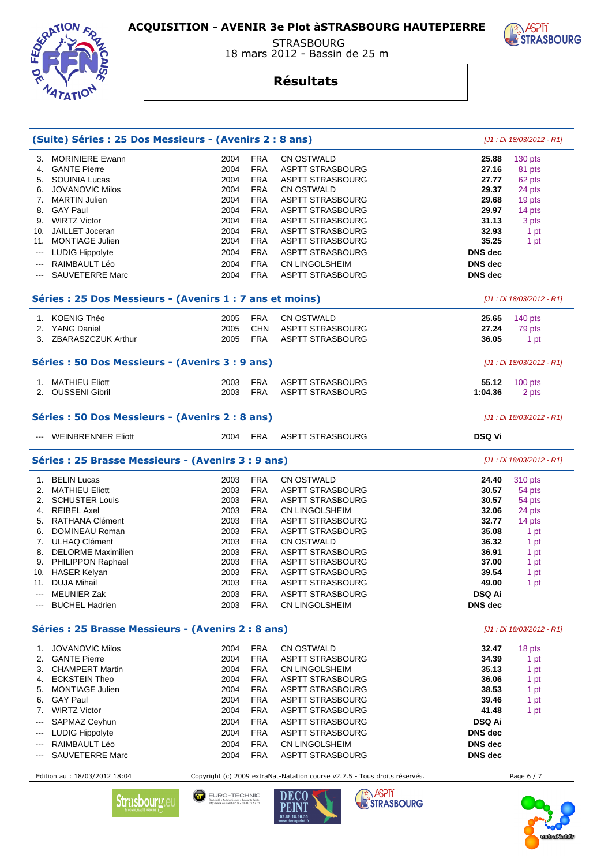

 STRASBOURG 18 mars 2012 - Bassin de 25 m

#### **Résultats**

|                                                                              | (Suite) Séries : 25 Dos Messieurs - (Avenirs 2 : 8 ans)  |      |            |                                                                                                      |                | [J1 : Di 18/03/2012 - R1] |
|------------------------------------------------------------------------------|----------------------------------------------------------|------|------------|------------------------------------------------------------------------------------------------------|----------------|---------------------------|
| З.                                                                           | <b>MORINIERE Ewann</b>                                   | 2004 | <b>FRA</b> | CN OSTWALD                                                                                           | 25.88          | 130 pts                   |
| 4.                                                                           | <b>GANTE Pierre</b>                                      | 2004 | <b>FRA</b> | <b>ASPTT STRASBOURG</b>                                                                              | 27.16          | 81 pts                    |
| 5.                                                                           | <b>SOUINIA Lucas</b>                                     | 2004 | <b>FRA</b> | <b>ASPTT STRASBOURG</b>                                                                              | 27.77          | 62 pts                    |
| 6.                                                                           | <b>JOVANOVIC Milos</b>                                   | 2004 | <b>FRA</b> | <b>CN OSTWALD</b>                                                                                    | 29.37          | 24 pts                    |
|                                                                              | 7. MARTIN Julien                                         | 2004 | <b>FRA</b> | <b>ASPTT STRASBOURG</b>                                                                              | 29.68          | 19 pts                    |
| 8.                                                                           | <b>GAY Paul</b>                                          | 2004 | <b>FRA</b> | <b>ASPTT STRASBOURG</b>                                                                              | 29.97          | 14 pts                    |
|                                                                              | 9. WIRTZ Victor                                          | 2004 | <b>FRA</b> | <b>ASPTT STRASBOURG</b>                                                                              | 31.13          | 3 pts                     |
| 10.                                                                          | <b>JAILLET</b> Joceran                                   | 2004 | <b>FRA</b> | <b>ASPTT STRASBOURG</b>                                                                              | 32.93          | 1 pt                      |
|                                                                              | 11. MONTIAGE Julien                                      | 2004 | <b>FRA</b> | ASPTT STRASBOURG                                                                                     | 35.25          | 1 pt                      |
|                                                                              |                                                          |      | <b>FRA</b> |                                                                                                      | <b>DNS</b> dec |                           |
| $\scriptstyle\cdots$                                                         | <b>LUDIG Hippolyte</b>                                   | 2004 |            | <b>ASPTT STRASBOURG</b>                                                                              |                |                           |
| $---$                                                                        | RAIMBAULT Léo                                            | 2004 | <b>FRA</b> | <b>CN LINGOLSHEIM</b>                                                                                | <b>DNS</b> dec |                           |
| $\overline{\phantom{a}}$                                                     | <b>SAUVETERRE Marc</b>                                   | 2004 | <b>FRA</b> | <b>ASPTT STRASBOURG</b>                                                                              | <b>DNS</b> dec |                           |
|                                                                              | Séries : 25 Dos Messieurs - (Avenirs 1 : 7 ans et moins) |      |            |                                                                                                      |                | [J1 : Di 18/03/2012 - R1] |
|                                                                              | 1. KOENIG Théo                                           | 2005 | <b>FRA</b> | CN OSTWALD                                                                                           | 25.65          | 140 pts                   |
|                                                                              | 2. YANG Daniel                                           | 2005 | <b>CHN</b> | <b>ASPTT STRASBOURG</b>                                                                              | 27.24          | 79 pts                    |
|                                                                              | 3. ZBARASZCZUK Arthur                                    | 2005 | <b>FRA</b> | <b>ASPTT STRASBOURG</b>                                                                              | 36.05          | 1 pt                      |
|                                                                              |                                                          |      |            |                                                                                                      |                |                           |
|                                                                              | Séries : 50 Dos Messieurs - (Avenirs 3 : 9 ans)          |      |            |                                                                                                      |                | [J1 : Di 18/03/2012 - R1] |
|                                                                              | 1. MATHIEU Eliott                                        | 2003 | <b>FRA</b> | <b>ASPTT STRASBOURG</b>                                                                              | 55.12          | 100 pts                   |
|                                                                              | 2. OUSSENI Gibril                                        | 2003 | <b>FRA</b> | <b>ASPTT STRASBOURG</b>                                                                              | 1:04.36        | 2 pts                     |
|                                                                              |                                                          |      |            |                                                                                                      |                |                           |
| Séries : 50 Dos Messieurs - (Avenirs 2 : 8 ans)<br>[J1 : Di 18/03/2012 - R1] |                                                          |      |            |                                                                                                      |                |                           |
|                                                                              | <b>WEINBRENNER Eliott</b>                                | 2004 | <b>FRA</b> | <b>ASPTT STRASBOURG</b>                                                                              | <b>DSQ Vi</b>  |                           |
|                                                                              | Séries : 25 Brasse Messieurs - (Avenirs 3 : 9 ans)       |      |            |                                                                                                      |                | [J1 : Di 18/03/2012 - R1] |
|                                                                              | 1. BELIN Lucas                                           | 2003 | <b>FRA</b> | CN OSTWALD                                                                                           | 24.40          | <b>310 pts</b>            |
|                                                                              | 2. MATHIEU Eliott                                        | 2003 | <b>FRA</b> | <b>ASPTT STRASBOURG</b>                                                                              | 30.57          | 54 pts                    |
| 2.                                                                           | <b>SCHUSTER Louis</b>                                    | 2003 | <b>FRA</b> | ASPTT STRASBOURG                                                                                     | 30.57          | 54 pts                    |
|                                                                              | 4. REIBEL Axel                                           | 2003 | <b>FRA</b> | CN LINGOLSHEIM                                                                                       | 32.06          | 24 pts                    |
|                                                                              | 5. RATHANA Clément                                       | 2003 | <b>FRA</b> | <b>ASPTT STRASBOURG</b>                                                                              | 32.77          | 14 pts                    |
| 6.                                                                           | DOMINEAU Roman                                           | 2003 | <b>FRA</b> | <b>ASPTT STRASBOURG</b>                                                                              | 35.08          | 1 pt                      |
|                                                                              | 7. ULHAQ Clément                                         | 2003 | <b>FRA</b> | <b>CN OSTWALD</b>                                                                                    | 36.32          | 1 pt                      |
|                                                                              | 8. DELORME Maximilien                                    | 2003 | <b>FRA</b> | ASPTT STRASBOURG                                                                                     | 36.91          | 1 pt                      |
| 9.                                                                           | PHILIPPON Raphael                                        | 2003 | <b>FRA</b> | ASPTT STRASBOURG                                                                                     | 37.00          | 1 pt                      |
| 10.                                                                          | <b>HASER Kelyan</b>                                      | 2003 | <b>FRA</b> | <b>ASPTT STRASBOURG</b>                                                                              | 39.54          | 1 pt                      |
| 11.                                                                          | <b>DUJA Mihail</b>                                       | 2003 | <b>FRA</b> | <b>ASPTT STRASBOURG</b>                                                                              | 49.00          | 1 pt                      |
|                                                                              | <b>MEUNIER Zak</b>                                       | 2003 | <b>FRA</b> | <b>ASPTT STRASBOURG</b>                                                                              | <b>DSQ Ai</b>  |                           |
|                                                                              | <b>BUCHEL Hadrien</b>                                    | 2003 | <b>FRA</b> | <b>CN LINGOLSHEIM</b>                                                                                | <b>DNS</b> dec |                           |
|                                                                              |                                                          |      |            |                                                                                                      |                |                           |
|                                                                              | Séries : 25 Brasse Messieurs - (Avenirs 2 : 8 ans)       |      |            |                                                                                                      |                | [J1 : Di 18/03/2012 - R1] |
|                                                                              | 1. JOVANOVIC Milos                                       | 2004 | <b>FRA</b> | <b>CN OSTWALD</b>                                                                                    | 32.47          | 18 pts                    |
| 2.                                                                           | <b>GANTE Pierre</b>                                      | 2004 | <b>FRA</b> | <b>ASPTT STRASBOURG</b>                                                                              | 34.39          | 1 pt                      |
| 3.                                                                           | <b>CHAMPERT Martin</b>                                   | 2004 | <b>FRA</b> | <b>CN LINGOLSHEIM</b>                                                                                | 35.13          | 1 pt                      |
| 4.                                                                           | <b>ECKSTEIN Theo</b>                                     | 2004 | <b>FRA</b> | <b>ASPTT STRASBOURG</b>                                                                              | 36.06          | 1 pt                      |
| 5.                                                                           | <b>MONTIAGE Julien</b>                                   | 2004 | <b>FRA</b> | <b>ASPTT STRASBOURG</b>                                                                              | 38.53          | 1 pt                      |
| 6.                                                                           | <b>GAY Paul</b>                                          | 2004 | <b>FRA</b> | ASPTT STRASBOURG                                                                                     | 39.46          | 1 pt                      |
| 7.                                                                           | <b>WIRTZ Victor</b>                                      | 2004 | <b>FRA</b> | <b>ASPTT STRASBOURG</b>                                                                              | 41.48          | 1 pt                      |
|                                                                              | SAPMAZ Ceyhun                                            | 2004 | <b>FRA</b> | <b>ASPTT STRASBOURG</b>                                                                              | <b>DSQ Ai</b>  |                           |
|                                                                              | <b>LUDIG Hippolyte</b>                                   | 2004 | <b>FRA</b> | <b>ASPTT STRASBOURG</b>                                                                              | <b>DNS</b> dec |                           |
| $---$                                                                        | RAIMBAULT Léo                                            | 2004 | <b>FRA</b> | CN LINGOLSHEIM                                                                                       | <b>DNS</b> dec |                           |
|                                                                              | SAUVETERRE Marc                                          | 2004 | <b>FRA</b> | <b>ASPTT STRASBOURG</b>                                                                              | <b>DNS</b> dec |                           |
|                                                                              |                                                          |      |            |                                                                                                      |                |                           |
|                                                                              | Edition au : 18/03/2012 18:04                            |      |            | Copyright (c) 2009 extraNat-Natation course v2.7.5 - Tous droits réservés.<br><b>ACON</b><br>P P Q Q |                | Page 6 / 7                |



EURO - TECHNIC<br>
flectrické • Automatismes • Courants taïkies<br>
http://www.eurotechnic.fr • 03.88.76.57.03